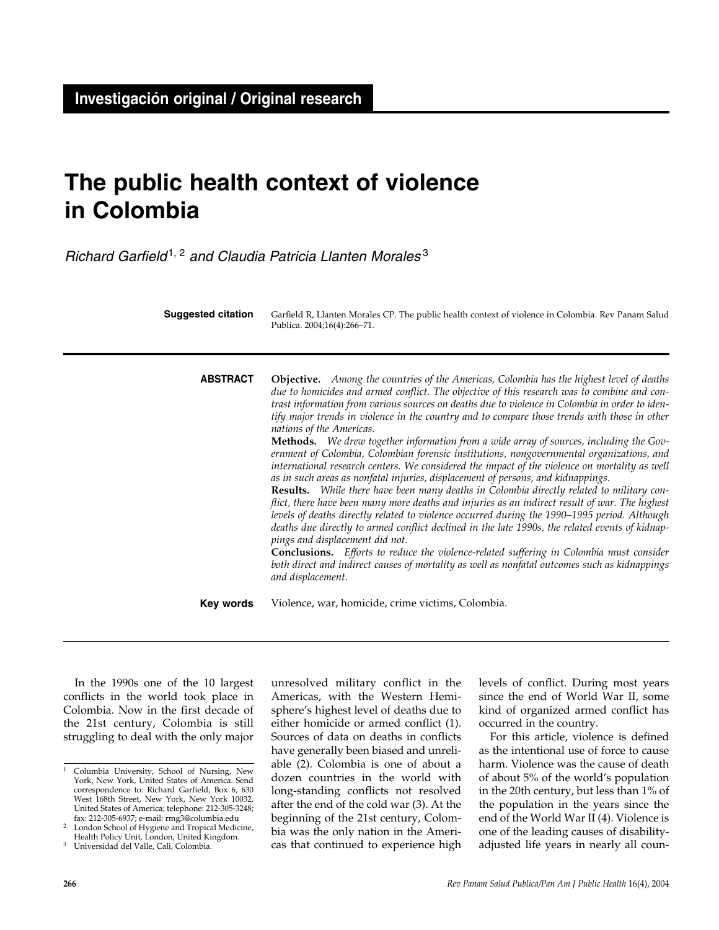# **The public health context of violence in Colombia**

*Richard Garfield*1, 2 *and Claudia Patricia Llanten Morales* <sup>3</sup>

| <b>Suggested citation</b> | Garfield R, Llanten Morales CP. The public health context of violence in Colombia. Rev Panam Salud<br>Publica. 2004;16(4):266-71.                                                                                                                                                                                                                                                                                                                                                                                                                                                                                                                                                                                                                                                                                                                                                                                                                                                                                                                                                                                                                                                                                                                                                                                                                                                                                                                                          |  |
|---------------------------|----------------------------------------------------------------------------------------------------------------------------------------------------------------------------------------------------------------------------------------------------------------------------------------------------------------------------------------------------------------------------------------------------------------------------------------------------------------------------------------------------------------------------------------------------------------------------------------------------------------------------------------------------------------------------------------------------------------------------------------------------------------------------------------------------------------------------------------------------------------------------------------------------------------------------------------------------------------------------------------------------------------------------------------------------------------------------------------------------------------------------------------------------------------------------------------------------------------------------------------------------------------------------------------------------------------------------------------------------------------------------------------------------------------------------------------------------------------------------|--|
| <b>ABSTRACT</b>           | <b>Objective.</b> Among the countries of the Americas, Colombia has the highest level of deaths<br>due to homicides and armed conflict. The objective of this research was to combine and con-<br>trast information from various sources on deaths due to violence in Colombia in order to iden-<br>tify major trends in violence in the country and to compare those trends with those in other<br>nations of the Americas.<br><b>Methods.</b> We drew together information from a wide array of sources, including the Gov-<br>ernment of Colombia, Colombian forensic institutions, nongovernmental organizations, and<br>international research centers. We considered the impact of the violence on mortality as well<br>as in such areas as nonfatal injuries, displacement of persons, and kidnappings.<br>Results. While there have been many deaths in Colombia directly related to military con-<br>flict, there have been many more deaths and injuries as an indirect result of war. The highest<br>levels of deaths directly related to violence occurred during the 1990–1995 period. Although<br>deaths due directly to armed conflict declined in the late 1990s, the related events of kidnap-<br>pings and displacement did not.<br><b>Conclusions.</b> Efforts to reduce the violence-related suffering in Colombia must consider<br>both direct and indirect causes of mortality as well as nonfatal outcomes such as kidnappings<br>and displacement. |  |
| Key words                 | Violence, war, homicide, crime victims, Colombia.                                                                                                                                                                                                                                                                                                                                                                                                                                                                                                                                                                                                                                                                                                                                                                                                                                                                                                                                                                                                                                                                                                                                                                                                                                                                                                                                                                                                                          |  |

In the 1990s one of the 10 largest conflicts in the world took place in Colombia. Now in the first decade of the 21st century, Colombia is still struggling to deal with the only major

unresolved military conflict in the Americas, with the Western Hemisphere's highest level of deaths due to either homicide or armed conflict (1). Sources of data on deaths in conflicts have generally been biased and unreliable (2). Colombia is one of about a dozen countries in the world with long-standing conflicts not resolved after the end of the cold war (3). At the beginning of the 21st century, Colombia was the only nation in the Americas that continued to experience high

levels of conflict. During most years since the end of World War II, some kind of organized armed conflict has occurred in the country.

For this article, violence is defined as the intentional use of force to cause harm. Violence was the cause of death of about 5% of the world's population in the 20th century, but less than 1% of the population in the years since the end of the World War II (4). Violence is one of the leading causes of disabilityadjusted life years in nearly all coun-

<sup>&</sup>lt;sup>1</sup> Columbia University, School of Nursing, New York, New York, United States of America. Send correspondence to: Richard Garfield, Box 6, 630 West 168th Street, New York, New York 10032, United States of America; telephone: 212-305-3248; fax: 212-305-6937; e-mail: rmg3@columbia.edu

<sup>&</sup>lt;sup>2</sup> London School of Hygiene and Tropical Medicine,<br>Health Policy Unit, London, United Kingdom.

<sup>&</sup>lt;sup>3</sup> Universidad del Valle, Cali, Colombia.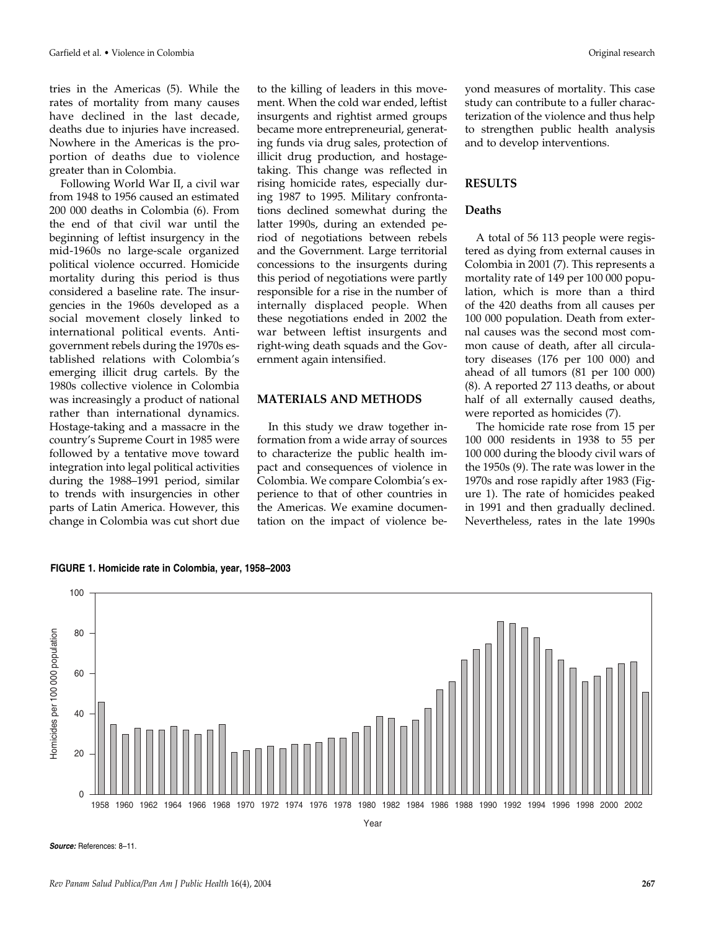tries in the Americas (5). While the rates of mortality from many causes have declined in the last decade, deaths due to injuries have increased. Nowhere in the Americas is the proportion of deaths due to violence greater than in Colombia.

Following World War II, a civil war from 1948 to 1956 caused an estimated 200 000 deaths in Colombia (6). From the end of that civil war until the beginning of leftist insurgency in the mid-1960s no large-scale organized political violence occurred. Homicide mortality during this period is thus considered a baseline rate. The insurgencies in the 1960s developed as a social movement closely linked to international political events. Antigovernment rebels during the 1970s established relations with Colombia's emerging illicit drug cartels. By the 1980s collective violence in Colombia was increasingly a product of national rather than international dynamics. Hostage-taking and a massacre in the country's Supreme Court in 1985 were followed by a tentative move toward integration into legal political activities during the 1988–1991 period, similar to trends with insurgencies in other parts of Latin America. However, this change in Colombia was cut short due

to the killing of leaders in this movement. When the cold war ended, leftist insurgents and rightist armed groups became more entrepreneurial, generating funds via drug sales, protection of illicit drug production, and hostagetaking. This change was reflected in rising homicide rates, especially during 1987 to 1995. Military confrontations declined somewhat during the latter 1990s, during an extended period of negotiations between rebels and the Government. Large territorial concessions to the insurgents during this period of negotiations were partly responsible for a rise in the number of internally displaced people. When these negotiations ended in 2002 the war between leftist insurgents and right-wing death squads and the Government again intensified.

# **MATERIALS AND METHODS**

In this study we draw together information from a wide array of sources to characterize the public health impact and consequences of violence in Colombia. We compare Colombia's experience to that of other countries in the Americas. We examine documentation on the impact of violence beyond measures of mortality. This case study can contribute to a fuller characterization of the violence and thus help to strengthen public health analysis and to develop interventions.

#### **RESULTS**

#### **Deaths**

A total of 56 113 people were registered as dying from external causes in Colombia in 2001 (7). This represents a mortality rate of 149 per 100 000 population, which is more than a third of the 420 deaths from all causes per 100 000 population. Death from external causes was the second most common cause of death, after all circulatory diseases (176 per 100 000) and ahead of all tumors (81 per 100 000) (8). A reported 27 113 deaths, or about half of all externally caused deaths, were reported as homicides (7).

The homicide rate rose from 15 per 100 000 residents in 1938 to 55 per 100 000 during the bloody civil wars of the 1950s (9). The rate was lower in the 1970s and rose rapidly after 1983 (Figure 1). The rate of homicides peaked in 1991 and then gradually declined. Nevertheless, rates in the late 1990s





*Source:* References: 8–11.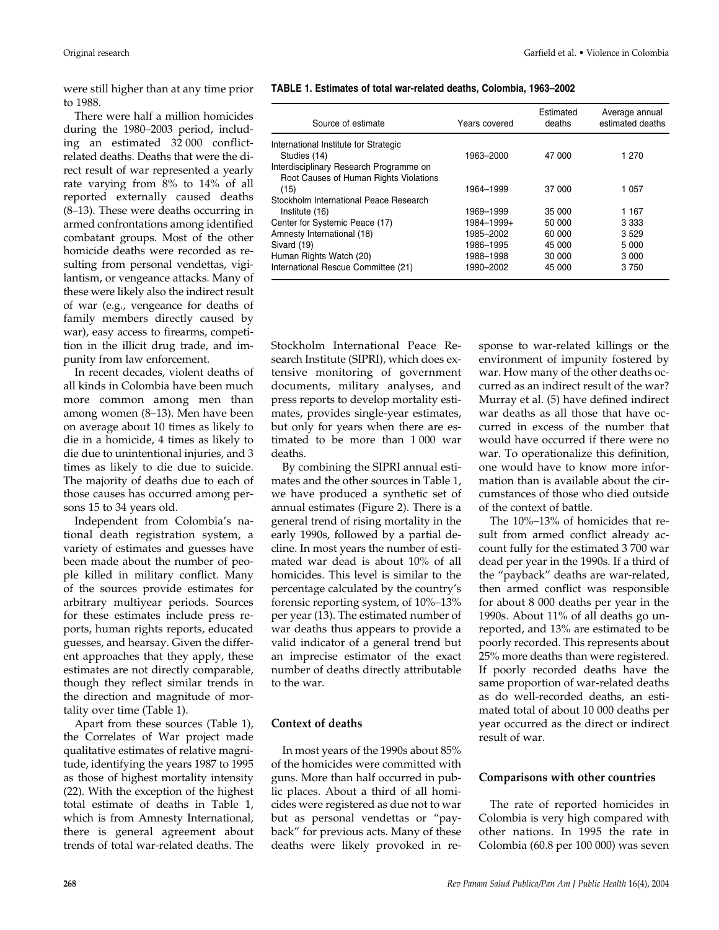were still higher than at any time prior to 1988.

There were half a million homicides during the 1980–2003 period, including an estimated 32 000 conflictrelated deaths. Deaths that were the direct result of war represented a yearly rate varying from 8% to 14% of all reported externally caused deaths (8–13). These were deaths occurring in armed confrontations among identified combatant groups. Most of the other homicide deaths were recorded as resulting from personal vendettas, vigilantism, or vengeance attacks. Many of these were likely also the indirect result of war (e.g., vengeance for deaths of family members directly caused by war), easy access to firearms, competition in the illicit drug trade, and impunity from law enforcement.

In recent decades, violent deaths of all kinds in Colombia have been much more common among men than among women (8–13). Men have been on average about 10 times as likely to die in a homicide, 4 times as likely to die due to unintentional injuries, and 3 times as likely to die due to suicide. The majority of deaths due to each of those causes has occurred among persons 15 to 34 years old.

Independent from Colombia's national death registration system, a variety of estimates and guesses have been made about the number of people killed in military conflict. Many of the sources provide estimates for arbitrary multiyear periods. Sources for these estimates include press reports, human rights reports, educated guesses, and hearsay. Given the different approaches that they apply, these estimates are not directly comparable, though they reflect similar trends in the direction and magnitude of mortality over time (Table 1).

Apart from these sources (Table 1), the Correlates of War project made qualitative estimates of relative magnitude, identifying the years 1987 to 1995 as those of highest mortality intensity (22). With the exception of the highest total estimate of deaths in Table 1, which is from Amnesty International, there is general agreement about trends of total war-related deaths. The

**TABLE 1. Estimates of total war-related deaths, Colombia, 1963–2002**

| Source of estimate                                                                | Years covered | Estimated<br>deaths | Average annual<br>estimated deaths |
|-----------------------------------------------------------------------------------|---------------|---------------------|------------------------------------|
| International Institute for Strategic<br>Studies (14)                             | 1963-2000     | 47 000              | 1 270                              |
| Interdisciplinary Research Programme on<br>Root Causes of Human Rights Violations |               |                     |                                    |
| (15)                                                                              | 1964-1999     | 37 000              | 1 0 5 7                            |
| Stockholm International Peace Research                                            |               |                     |                                    |
| Institute (16)                                                                    | 1969-1999     | 35 000              | 1 167                              |
| Center for Systemic Peace (17)                                                    | 1984-1999+    | 50 000              | 3 3 3 3                            |
| Amnesty International (18)                                                        | 1985-2002     | 60 000              | 3529                               |
| Sivard (19)                                                                       | 1986-1995     | 45 000              | 5 0 0 0                            |
| Human Rights Watch (20)                                                           | 1988-1998     | 30 000              | 3 0 0 0                            |
| International Rescue Committee (21)                                               | 1990-2002     | 45 000              | 3750                               |

Stockholm International Peace Research Institute (SIPRI), which does extensive monitoring of government documents, military analyses, and press reports to develop mortality estimates, provides single-year estimates, but only for years when there are estimated to be more than 1 000 war deaths.

By combining the SIPRI annual estimates and the other sources in Table 1, we have produced a synthetic set of annual estimates (Figure 2). There is a general trend of rising mortality in the early 1990s, followed by a partial decline. In most years the number of estimated war dead is about 10% of all homicides. This level is similar to the percentage calculated by the country's forensic reporting system, of 10%–13% per year (13). The estimated number of war deaths thus appears to provide a valid indicator of a general trend but an imprecise estimator of the exact number of deaths directly attributable to the war.

# **Context of deaths**

In most years of the 1990s about 85% of the homicides were committed with guns. More than half occurred in public places. About a third of all homicides were registered as due not to war but as personal vendettas or "payback" for previous acts. Many of these deaths were likely provoked in response to war-related killings or the environment of impunity fostered by war. How many of the other deaths occurred as an indirect result of the war? Murray et al. (5) have defined indirect war deaths as all those that have occurred in excess of the number that would have occurred if there were no war. To operationalize this definition, one would have to know more information than is available about the circumstances of those who died outside of the context of battle.

The 10%–13% of homicides that result from armed conflict already account fully for the estimated 3 700 war dead per year in the 1990s. If a third of the "payback" deaths are war-related, then armed conflict was responsible for about 8 000 deaths per year in the 1990s. About 11% of all deaths go unreported, and 13% are estimated to be poorly recorded. This represents about 25% more deaths than were registered. If poorly recorded deaths have the same proportion of war-related deaths as do well-recorded deaths, an estimated total of about 10 000 deaths per year occurred as the direct or indirect result of war.

#### **Comparisons with other countries**

The rate of reported homicides in Colombia is very high compared with other nations. In 1995 the rate in Colombia (60.8 per 100 000) was seven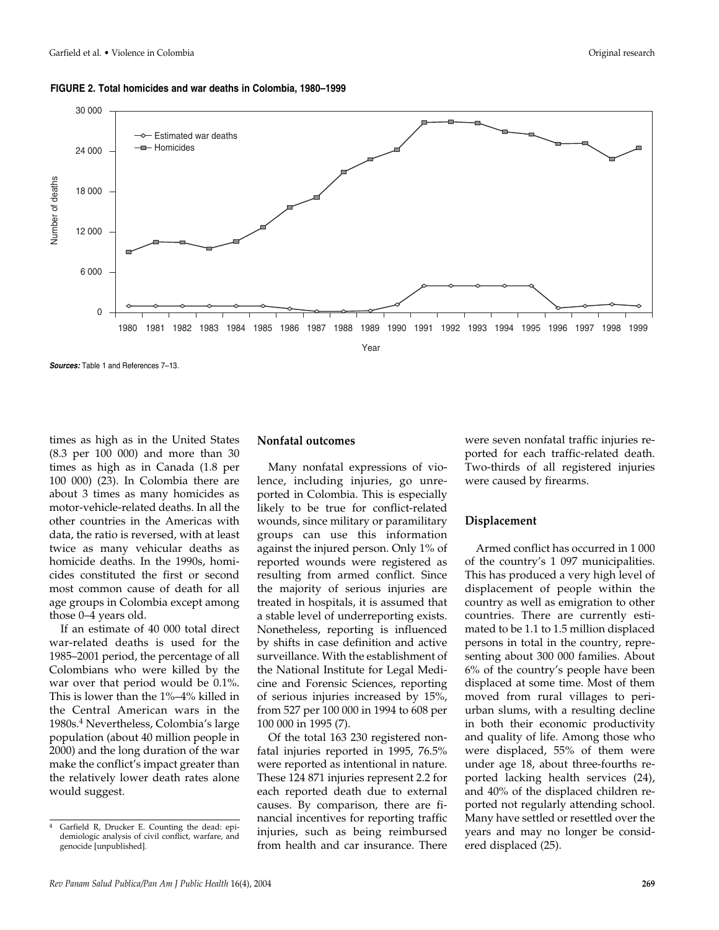



times as high as in the United States (8.3 per 100 000) and more than 30 times as high as in Canada (1.8 per 100 000) (23). In Colombia there are about 3 times as many homicides as motor-vehicle-related deaths. In all the other countries in the Americas with data, the ratio is reversed, with at least twice as many vehicular deaths as homicide deaths. In the 1990s, homicides constituted the first or second most common cause of death for all age groups in Colombia except among those 0–4 years old.

If an estimate of 40 000 total direct war-related deaths is used for the 1985–2001 period, the percentage of all Colombians who were killed by the war over that period would be 0.1%. This is lower than the 1%–4% killed in the Central American wars in the 1980s.4 Nevertheless, Colombia's large population (about 40 million people in 2000) and the long duration of the war make the conflict's impact greater than the relatively lower death rates alone would suggest.

#### **Nonfatal outcomes**

Many nonfatal expressions of violence, including injuries, go unreported in Colombia. This is especially likely to be true for conflict-related wounds, since military or paramilitary groups can use this information against the injured person. Only 1% of reported wounds were registered as resulting from armed conflict. Since the majority of serious injuries are treated in hospitals, it is assumed that a stable level of underreporting exists. Nonetheless, reporting is influenced by shifts in case definition and active surveillance. With the establishment of the National Institute for Legal Medicine and Forensic Sciences, reporting of serious injuries increased by 15%, from 527 per 100 000 in 1994 to 608 per 100 000 in 1995 (7).

Of the total 163 230 registered nonfatal injuries reported in 1995, 76.5% were reported as intentional in nature. These 124 871 injuries represent 2.2 for each reported death due to external causes. By comparison, there are financial incentives for reporting traffic injuries, such as being reimbursed from health and car insurance. There

were seven nonfatal traffic injuries reported for each traffic-related death. Two-thirds of all registered injuries were caused by firearms.

#### **Displacement**

Armed conflict has occurred in 1 000 of the country's 1 097 municipalities. This has produced a very high level of displacement of people within the country as well as emigration to other countries. There are currently estimated to be 1.1 to 1.5 million displaced persons in total in the country, representing about 300 000 families. About 6% of the country's people have been displaced at some time. Most of them moved from rural villages to periurban slums, with a resulting decline in both their economic productivity and quality of life. Among those who were displaced, 55% of them were under age 18, about three-fourths reported lacking health services (24), and 40% of the displaced children reported not regularly attending school. Many have settled or resettled over the years and may no longer be considered displaced (25).

Garfield R, Drucker E. Counting the dead: epidemiologic analysis of civil conflict, warfare, and genocide [unpublished].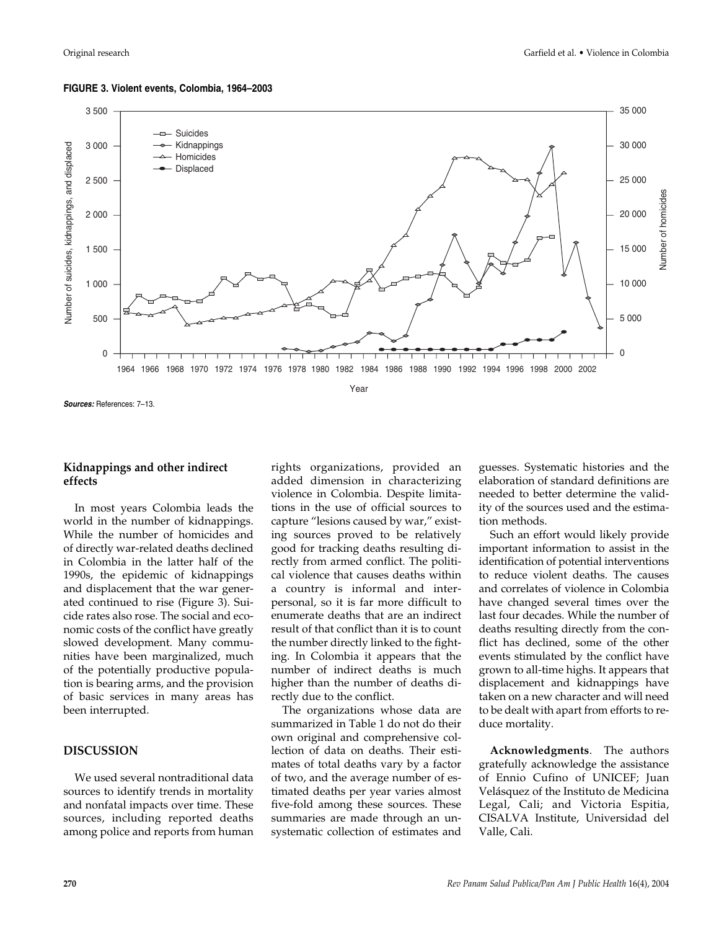#### **FIGURE 3. Violent events, Colombia, 1964–2003**



#### **Kidnappings and other indirect effects**

In most years Colombia leads the world in the number of kidnappings. While the number of homicides and of directly war-related deaths declined in Colombia in the latter half of the 1990s, the epidemic of kidnappings and displacement that the war generated continued to rise (Figure 3). Suicide rates also rose. The social and economic costs of the conflict have greatly slowed development. Many communities have been marginalized, much of the potentially productive population is bearing arms, and the provision of basic services in many areas has been interrupted.

# **DISCUSSION**

We used several nontraditional data sources to identify trends in mortality and nonfatal impacts over time. These sources, including reported deaths among police and reports from human rights organizations, provided an added dimension in characterizing violence in Colombia. Despite limitations in the use of official sources to capture "lesions caused by war," existing sources proved to be relatively good for tracking deaths resulting directly from armed conflict. The political violence that causes deaths within a country is informal and interpersonal, so it is far more difficult to enumerate deaths that are an indirect result of that conflict than it is to count the number directly linked to the fighting. In Colombia it appears that the number of indirect deaths is much higher than the number of deaths directly due to the conflict.

The organizations whose data are summarized in Table 1 do not do their own original and comprehensive collection of data on deaths. Their estimates of total deaths vary by a factor of two, and the average number of estimated deaths per year varies almost five-fold among these sources. These summaries are made through an unsystematic collection of estimates and

guesses. Systematic histories and the elaboration of standard definitions are needed to better determine the validity of the sources used and the estimation methods.

Such an effort would likely provide important information to assist in the identification of potential interventions to reduce violent deaths. The causes and correlates of violence in Colombia have changed several times over the last four decades. While the number of deaths resulting directly from the conflict has declined, some of the other events stimulated by the conflict have grown to all-time highs. It appears that displacement and kidnappings have taken on a new character and will need to be dealt with apart from efforts to reduce mortality.

**Acknowledgments**. The authors gratefully acknowledge the assistance of Ennio Cufino of UNICEF; Juan Velásquez of the Instituto de Medicina Legal, Cali; and Victoria Espitia, CISALVA Institute, Universidad del Valle, Cali.